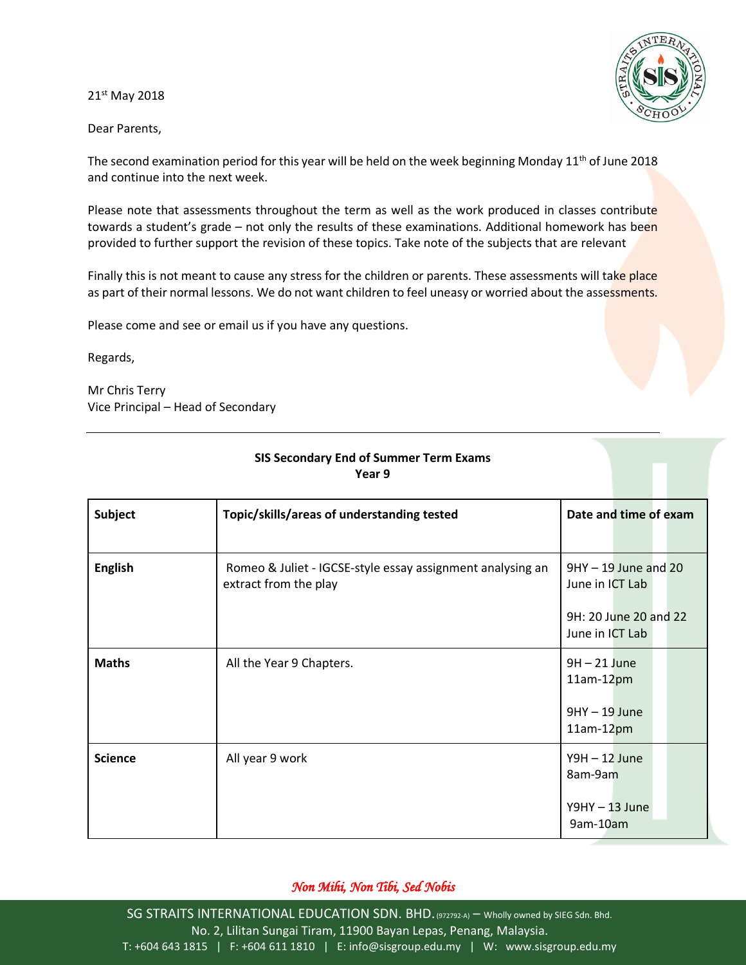21st May 2018

Dear Parents,



The second examination period for this year will be held on the week beginning Monday  $11<sup>th</sup>$  of June 2018 and continue into the next week.

Please note that assessments throughout the term as well as the work produced in classes contribute towards a student's grade - not only the results of these examinations. Additional homework has been provided to further support the revision of these topics. Take note of the subjects that are relevant

Finally this is not meant to cause any stress for the children or parents. These assessments will take place as part of their normal lessons. We do not want children to feel uneasy or worried about the assessments.

Please come and see or email us if you have any questions.

Regards,

Mr Chris Terry Vice Principal – Head of Secondary

| <b>Subject</b> | Topic/skills/areas of understanding tested                                          | Date and time of exam                     |
|----------------|-------------------------------------------------------------------------------------|-------------------------------------------|
| <b>English</b> | Romeo & Juliet - IGCSE-style essay assignment analysing an<br>extract from the play | $9HY - 19$ June and 20<br>June in ICT Lab |
|                |                                                                                     | 9H: 20 June 20 and 22<br>June in ICT Lab  |
| <b>Maths</b>   | All the Year 9 Chapters.                                                            | $9H - 21$ June<br>$11am-12pm$             |
|                |                                                                                     | $9HY - 19 June$<br>$11am-12pm$            |
| <b>Science</b> | All year 9 work                                                                     | $Y9H - 12$ June<br>8am-9am                |
|                |                                                                                     | $Y9HY - 13 June$<br>9am-10am              |

## **SIS Secondary End of Summer Term Exams Year 9**

## *Non Mihi, Non Tibi, Sed Nobis*

SG STRAITS INTERNATIONAL EDUCATION SDN. BHD. (972792-A) - Wholly owned by SIEG Sdn. Bhd. No. 2, Lilitan Sungai Tiram, 11900 Bayan Lepas, Penang, Malaysia. T: +604 643 1815 | F: +604 611 1810 | E: info@sisgroup.edu.my | W: www.sisgroup.edu.my